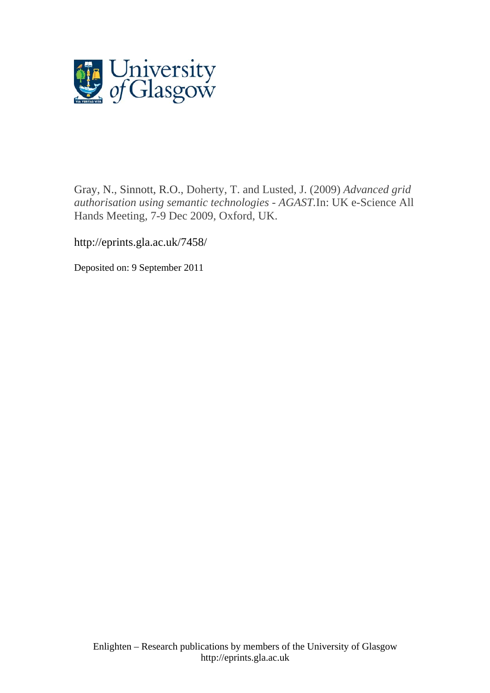

[Gray, N.,](http://eprints.gla.ac.uk/view/author/10790.html) [Sinnott, R.O.](http://eprints.gla.ac.uk/view/author/11609.html), Doherty, T. and Lusted, J. (2009) *Advanced grid authorisation using semantic technologies - AGAST.*In: UK e-Science All Hands Meeting, 7-9 Dec 2009, Oxford, UK.

http://eprints.gla.ac.uk/7458/

Deposited on: 9 September 2011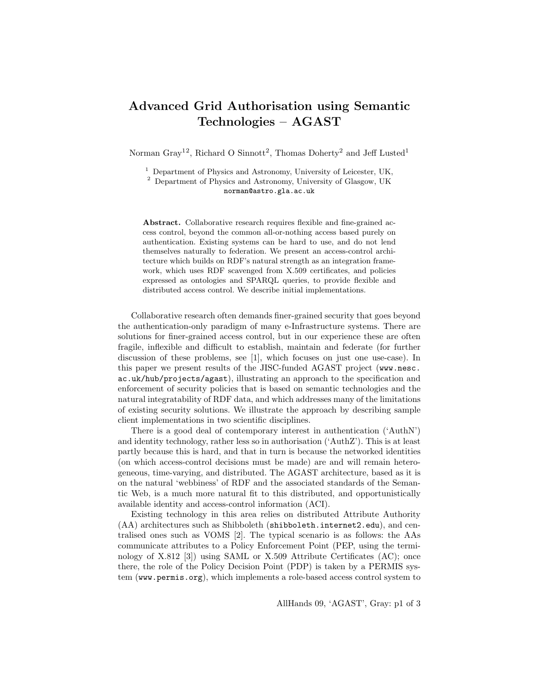## Advanced Grid Authorisation using Semantic Technologies – AGAST

Norman Gray<sup>12</sup>, Richard O Sinnott<sup>2</sup>, Thomas Doherty<sup>2</sup> and Jeff Lusted<sup>1</sup>

 $1$  Department of Physics and Astronomy, University of Leicester, UK,

<sup>2</sup> Department of Physics and Astronomy, University of Glasgow, UK norman@astro.gla.ac.uk

Abstract. Collaborative research requires flexible and fine-grained access control, beyond the common all-or-nothing access based purely on authentication. Existing systems can be hard to use, and do not lend themselves naturally to federation. We present an access-control architecture which builds on RDF's natural strength as an integration framework, which uses RDF scavenged from X.509 certificates, and policies expressed as ontologies and SPARQL queries, to provide flexible and distributed access control. We describe initial implementations.

Collaborative research often demands finer-grained security that goes beyond the authentication-only paradigm of many e-Infrastructure systems. There are solutions for finer-grained access control, but in our experience these are often fragile, inflexible and difficult to establish, maintain and federate (for further discussion of these problems, see [1], which focuses on just one use-case). In this paper we present results of the JISC-funded AGAST project (www.nesc. ac.uk/hub/projects/agast), illustrating an approach to the specification and enforcement of security policies that is based on semantic technologies and the natural integratability of RDF data, and which addresses many of the limitations of existing security solutions. We illustrate the approach by describing sample client implementations in two scientific disciplines.

There is a good deal of contemporary interest in authentication ('AuthN') and identity technology, rather less so in authorisation ('AuthZ'). This is at least partly because this is hard, and that in turn is because the networked identities (on which access-control decisions must be made) are and will remain heterogeneous, time-varying, and distributed. The AGAST architecture, based as it is on the natural 'webbiness' of RDF and the associated standards of the Semantic Web, is a much more natural fit to this distributed, and opportunistically available identity and access-control information (ACI).

Existing technology in this area relies on distributed Attribute Authority (AA) architectures such as Shibboleth (shibboleth.internet2.edu), and centralised ones such as VOMS [2]. The typical scenario is as follows: the AAs communicate attributes to a Policy Enforcement Point (PEP, using the terminology of X.812 [3]) using SAML or X.509 Attribute Certificates (AC); once there, the role of the Policy Decision Point (PDP) is taken by a PERMIS system (www.permis.org), which implements a role-based access control system to

AllHands 09, 'AGAST', Gray: p1 of 3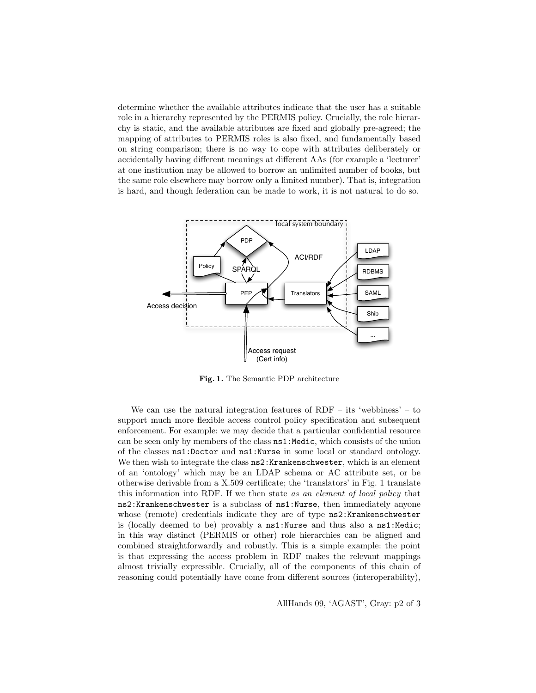determine whether the available attributes indicate that the user has a suitable role in a hierarchy represented by the PERMIS policy. Crucially, the role hierarchy is static, and the available attributes are fixed and globally pre-agreed; the mapping of attributes to PERMIS roles is also fixed, and fundamentally based on string comparison; there is no way to cope with attributes deliberately or accidentally having different meanings at different AAs (for example a 'lecturer' at one institution may be allowed to borrow an unlimited number of books, but the same role elsewhere may borrow only a limited number). That is, integration is hard, and though federation can be made to work, it is not natural to do so.



Fig. 1. The Semantic PDP architecture

We can use the natural integration features of  $RDF -$  its 'webbiness' – to support much more flexible access control policy specification and subsequent enforcement. For example: we may decide that a particular confidential resource can be seen only by members of the class  $ns1$ : Medic, which consists of the union of the classes ns1:Doctor and ns1:Nurse in some local or standard ontology. We then wish to integrate the class  $ns2:Krankenschwester$ , which is an element of an 'ontology' which may be an LDAP schema or AC attribute set, or be otherwise derivable from a X.509 certificate; the 'translators' in Fig. 1 translate this information into RDF. If we then state as an element of local policy that ns2:Krankenschwester is a subclass of ns1:Nurse, then immediately anyone whose (remote) credentials indicate they are of type  $ns2$ :Krankenschwester is (locally deemed to be) provably a ns1:Nurse and thus also a ns1:Medic; in this way distinct (PERMIS or other) role hierarchies can be aligned and combined straightforwardly and robustly. This is a simple example: the point is that expressing the access problem in RDF makes the relevant mappings almost trivially expressible. Crucially, all of the components of this chain of reasoning could potentially have come from different sources (interoperability),

AllHands 09, 'AGAST', Gray: p2 of 3